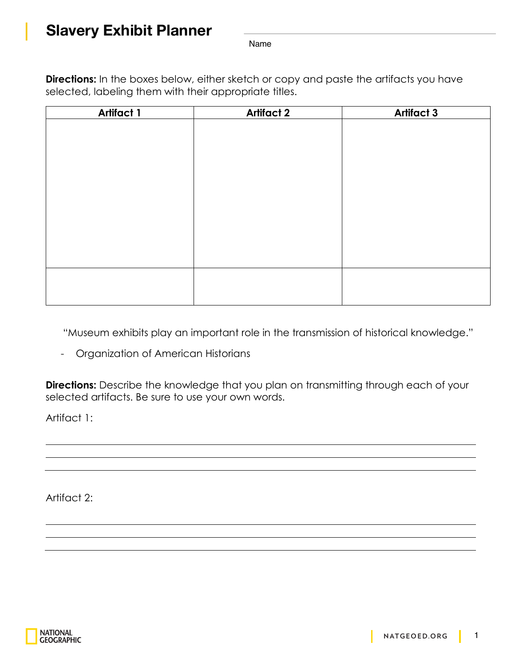## **Slavery Exhibit Planner**

Name

**Directions:** In the boxes below, either sketch or copy and paste the artifacts you have selected, labeling them with their appropriate titles.

| <b>Artifact 1</b> | <b>Artifact 2</b> | <b>Artifact 3</b> |
|-------------------|-------------------|-------------------|
|                   |                   |                   |
|                   |                   |                   |
|                   |                   |                   |
|                   |                   |                   |
|                   |                   |                   |
|                   |                   |                   |
|                   |                   |                   |
|                   |                   |                   |
|                   |                   |                   |
|                   |                   |                   |
|                   |                   |                   |
|                   |                   |                   |
|                   |                   |                   |

"Museum exhibits play an important role in the transmission of historical knowledge."

- Organization of American Historians

**Directions:** Describe the knowledge that you plan on transmitting through each of your selected artifacts. Be sure to use your own words.

Artifact 1:

Artifact 2: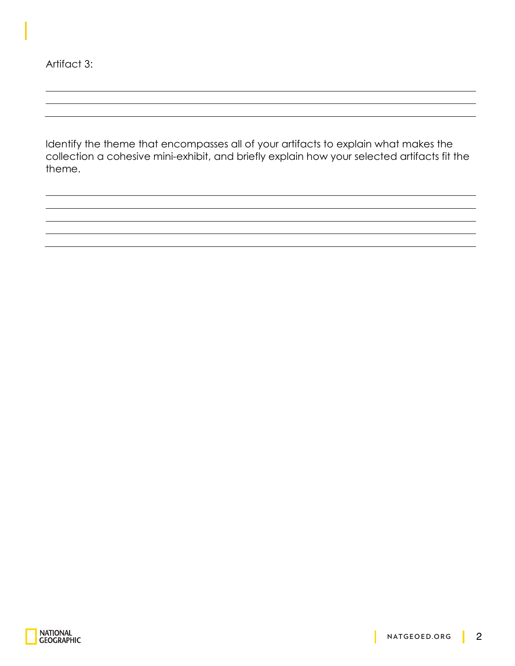Artifact 3:

Identify the theme that encompasses all of your artifacts to explain what makes the collection a cohesive mini-exhibit, and briefly explain how your selected artifacts fit the theme.